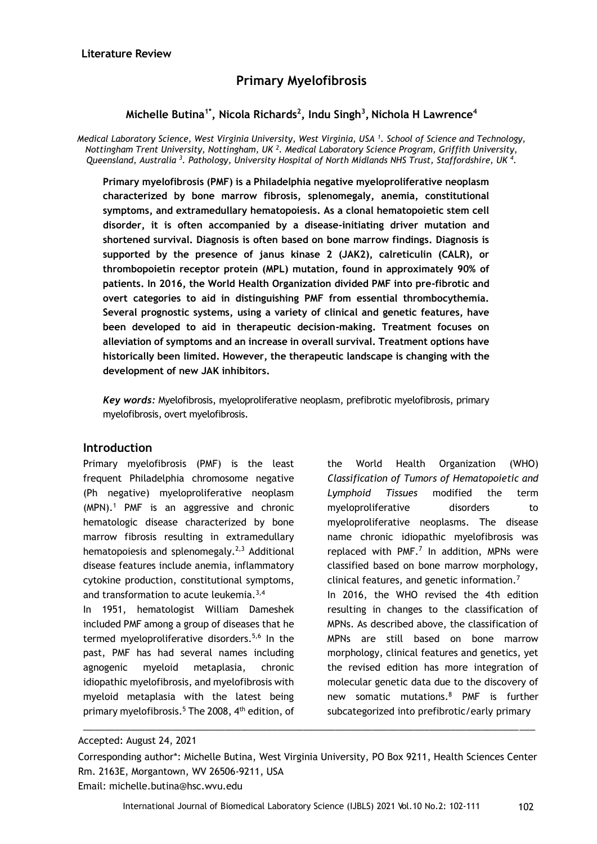# **Primary Myelofibrosis**

# **Michelle Butina1\*, Nicola Richards<sup>2</sup> , Indu Singh<sup>3</sup> , Nichola H Lawrence<sup>4</sup>**

*Medical Laboratory Science, West Virginia University, West Virginia, USA <sup>1</sup> . School of Science and Technology, Nottingham Trent University, Nottingham, UK <sup>2</sup> . Medical Laboratory Science Program, Griffith University, Queensland, Australia <sup>3</sup> . Pathology, University Hospital of North Midlands NHS Trust, Staffordshire, UK <sup>4</sup> .* 

**Primary myelofibrosis (PMF) is a Philadelphia negative myeloproliferative neoplasm characterized by bone marrow fibrosis, splenomegaly, anemia, constitutional symptoms, and extramedullary hematopoiesis. As a clonal hematopoietic stem cell disorder, it is often accompanied by a disease-initiating driver mutation and shortened survival. Diagnosis is often based on bone marrow findings. Diagnosis is supported by the presence of janus kinase 2 (JAK2), calreticulin (CALR), or thrombopoietin receptor protein (MPL) mutation, found in approximately 90% of patients. In 2016, the World Health Organization divided PMF into pre-fibrotic and overt categories to aid in distinguishing PMF from essential thrombocythemia. Several prognostic systems, using a variety of clinical and genetic features, have been developed to aid in therapeutic decision-making. Treatment focuses on alleviation of symptoms and an increase in overall survival. Treatment options have historically been limited. However, the therapeutic landscape is changing with the development of new JAK inhibitors.** 

*Key words:* Myelofibrosis, myeloproliferative neoplasm, prefibrotic myelofibrosis, primary myelofibrosis, overt myelofibrosis.

### **Introduction**

Primary myelofibrosis (PMF) is the least frequent Philadelphia chromosome negative (Ph negative) myeloproliferative neoplasm (MPN).<sup>1</sup> PMF is an aggressive and chronic hematologic disease characterized by bone marrow fibrosis resulting in extramedullary hematopoiesis and splenomegaly.<sup>2,3</sup> Additional disease features include anemia, inflammatory cytokine production, constitutional symptoms, and transformation to acute leukemia.<sup>3,4</sup>

In 1951, hematologist William Dameshek included PMF among a group of diseases that he termed myeloproliferative disorders.<sup>5,6</sup> In the past, PMF has had several names including agnogenic myeloid metaplasia, chronic idiopathic myelofibrosis, and myelofibrosis with myeloid metaplasia with the latest being primary myelofibrosis.<sup>5</sup> The 2008, 4<sup>th</sup> edition, of

the World Health Organization (WHO) *Classification of Tumors of Hematopoietic and Lymphoid Tissues* modified the term myeloproliferative disorders to myeloproliferative neoplasms. The disease name chronic idiopathic myelofibrosis was replaced with  $PMF<sup>7</sup>$  In addition, MPNs were classified based on bone marrow morphology, clinical features, and genetic information.<sup>7</sup> In 2016, the WHO revised the 4th edition resulting in changes to the classification of MPNs. As described above, the classification of MPNs are still based on bone marrow morphology, clinical features and genetics, yet the revised edition has more integration of molecular genetic data due to the discovery of new somatic mutations.<sup>8</sup> PMF is further subcategorized into prefibrotic/early primary

\_\_\_\_\_\_\_\_\_\_\_\_\_\_\_\_\_\_\_\_\_\_\_\_\_\_\_\_\_\_\_\_\_\_\_\_\_\_\_\_\_\_\_\_\_\_\_\_\_\_\_\_\_\_\_\_\_\_\_\_\_\_\_\_\_\_\_\_\_\_\_\_\_\_\_\_\_\_\_\_\_\_\_\_\_\_

Accepted: August 24, 2021

Corresponding author\*: Michelle Butina, West Virginia University, PO Box 9211, Health Sciences Center Rm. 2163E, Morgantown, WV 26506-9211, USA

Email: michelle.butina@hsc.wvu.edu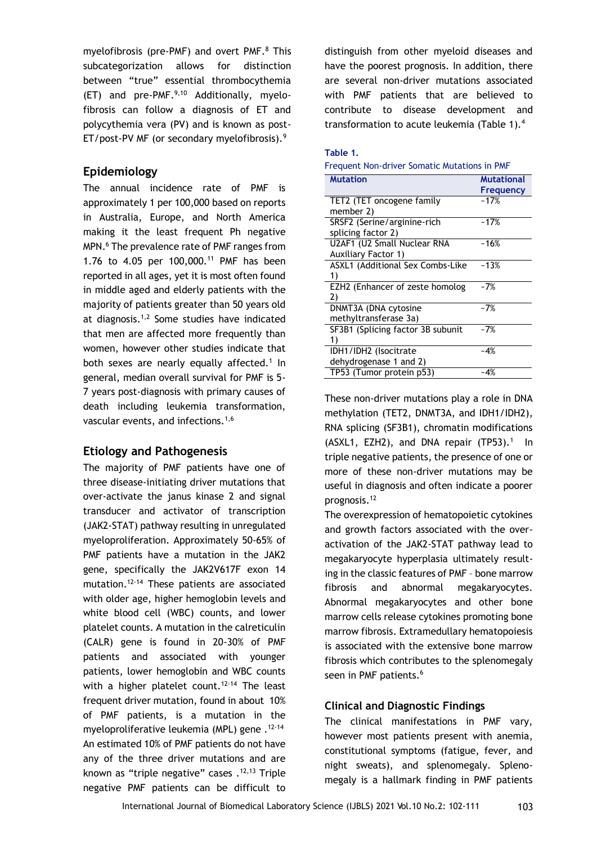myelofibrosis (pre-PMF) and overt PMF.<sup>8</sup> This subcategorization allows for distinction between "true" essential thrombocythemia  $(ET)$  and pre-PMF.<sup>9,10</sup> Additionally, myelofibrosis can follow a diagnosis of ET and polycythemia vera (PV) and is known as post-ET/post-PV MF (or secondary myelofibrosis).<sup>9</sup>

## **Epidemiology**

The annual incidence rate of PMF is approximately 1 per 100,000 based on reports in Australia, Europe, and North America making it the least frequent Ph negative MPN.<sup>6</sup> The prevalence rate of PMF ranges from 1.76 to 4.05 per 100,000.<sup>11</sup> PMF has been reported in all ages, yet it is most often found in middle aged and elderly patients with the majority of patients greater than 50 years old at diagnosis.1,2 Some studies have indicated that men are affected more frequently than women, however other studies indicate that both sexes are nearly equally affected.<sup>1</sup> In general, median overall survival for PMF is 5- 7 years post-diagnosis with primary causes of death including leukemia transformation, vascular events, and infections.1,6

## **Etiology and Pathogenesis**

The majority of PMF patients have one of three disease-initiating driver mutations that over-activate the janus kinase 2 and signal transducer and activator of transcription (JAK2-STAT) pathway resulting in unregulated myeloproliferation. Approximately 50-65% of PMF patients have a mutation in the JAK2 gene, specifically the JAK2V617F exon 14 mutation.12-14 These patients are associated with older age, higher hemoglobin levels and white blood cell (WBC) counts, and lower platelet counts. A mutation in the calreticulin (CALR) gene is found in 20-30% of PMF patients and associated with younger patients, lower hemoglobin and WBC counts with a higher platelet count.<sup>12-14</sup> The least frequent driver mutation, found in about 10% of PMF patients, is a mutation in the myeloproliferative leukemia (MPL) gene .<sup>12-14</sup> An estimated 10% of PMF patients do not have any of the three driver mutations and are known as "triple negative" cases .<sup>12,13</sup> Triple negative PMF patients can be difficult to distinguish from other myeloid diseases and have the poorest prognosis. In addition, there are several non-driver mutations associated with PMF patients that are believed to contribute to disease development and transformation to acute leukemia (Table 1).<sup>4</sup>

### **Table 1.**

| Frequent Non-driver Somatic Mutations in PMF |  |  |
|----------------------------------------------|--|--|
|                                              |  |  |

| <b>Mutation</b>                   | <b>Mutational</b> |
|-----------------------------------|-------------------|
|                                   | Frequency         |
| TET2 (TET oncogene family         | $-17%$            |
| member 2)                         |                   |
| SRSF2 (Serine/arginine-rich       | $-17%$            |
| splicing factor 2)                |                   |
| U2AF1 (U2 Small Nuclear RNA       | $-16%$            |
| <b>Auxiliary Factor 1)</b>        |                   |
| ASXL1 (Additional Sex Combs-Like  | $-13%$            |
| 1)                                |                   |
| EZH2 (Enhancer of zeste homolog   | $-7%$             |
| 2)                                |                   |
| DNMT3A (DNA cytosine              | $-7%$             |
| methyltransferase 3a)             |                   |
| SF3B1 (Splicing factor 3B subunit | $-7%$             |
| 1)                                |                   |
| IDH1/IDH2 (Isocitrate             | ~4%               |
| dehydrogenase 1 and 2)            |                   |
| TP53 (Tumor protein p53)          | ~4%               |

These non-driver mutations play a role in DNA methylation (TET2, DNMT3A, and IDH1/IDH2), RNA splicing (SF3B1), chromatin modifications  $(ASXL1, EZH2)$ , and DNA repair  $(TP53).<sup>1</sup>$  In triple negative patients, the presence of one or more of these non-driver mutations may be useful in diagnosis and often indicate a poorer prognosis.<sup>12</sup>

The overexpression of hematopoietic cytokines and growth factors associated with the overactivation of the JAK2-STAT pathway lead to megakaryocyte hyperplasia ultimately resulting in the classic features of PMF – bone marrow fibrosis and abnormal megakaryocytes. Abnormal megakaryocytes and other bone marrow cells release cytokines promoting bone marrow fibrosis. Extramedullary hematopoiesis is associated with the extensive bone marrow fibrosis which contributes to the splenomegaly seen in PMF patients.<sup>6</sup>

### **Clinical and Diagnostic Findings**

The clinical manifestations in PMF vary, however most patients present with anemia, constitutional symptoms (fatigue, fever, and night sweats), and splenomegaly. Splenomegaly is a hallmark finding in PMF patients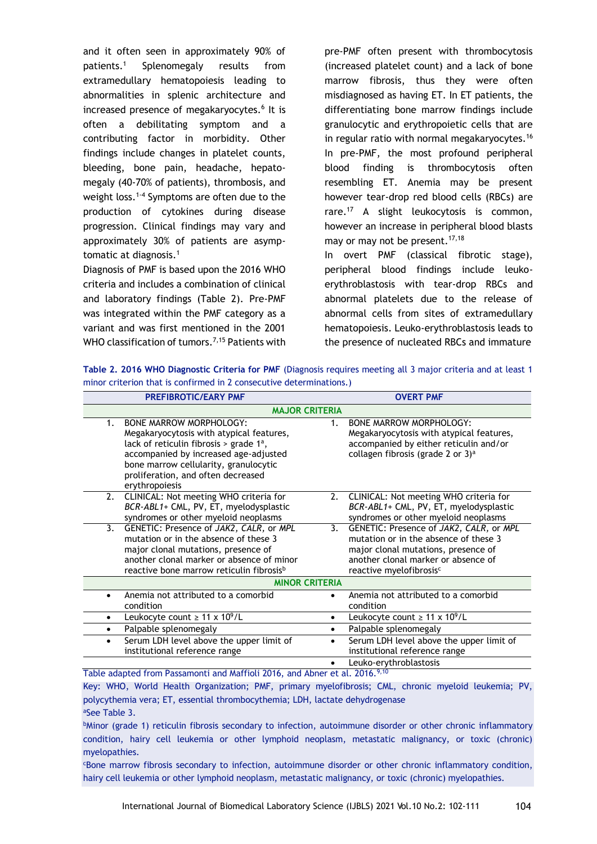and it often seen in approximately 90% of patients.<sup>1</sup> Splenomegaly results from extramedullary hematopoiesis leading to abnormalities in splenic architecture and increased presence of megakaryocytes.<sup>6</sup> It is often a debilitating symptom and a contributing factor in morbidity. Other findings include changes in platelet counts, bleeding, bone pain, headache, hepatomegaly (40-70% of patients), thrombosis, and weight loss.<sup>1-4</sup> Symptoms are often due to the production of cytokines during disease progression. Clinical findings may vary and approximately 30% of patients are asymptomatic at diagnosis.<sup>1</sup>

Diagnosis of PMF is based upon the 2016 WHO criteria and includes a combination of clinical and laboratory findings (Table 2). Pre-PMF was integrated within the PMF category as a variant and was first mentioned in the 2001 WHO classification of tumors.<sup>7,15</sup> Patients with pre-PMF often present with thrombocytosis (increased platelet count) and a lack of bone marrow fibrosis, thus they were often misdiagnosed as having ET. In ET patients, the differentiating bone marrow findings include granulocytic and erythropoietic cells that are in regular ratio with normal megakaryocytes.<sup>16</sup> In pre-PMF, the most profound peripheral blood finding is thrombocytosis often resembling ET. Anemia may be present however tear-drop red blood cells (RBCs) are rare.<sup>17</sup> A slight leukocytosis is common, however an increase in peripheral blood blasts may or may not be present.<sup>17,18</sup>

In overt PMF (classical fibrotic stage), peripheral blood findings include leukoerythroblastosis with tear-drop RBCs and abnormal platelets due to the release of abnormal cells from sites of extramedullary hematopoiesis. Leuko-erythroblastosis leads to the presence of nucleated RBCs and immature

| <b>PREFIBROTIC/EARY PMF</b>                                                                                                                                                                                                                                              | <b>OVERT PMF</b>      |                                                                                                                                                                                                       |  |  |  |  |
|--------------------------------------------------------------------------------------------------------------------------------------------------------------------------------------------------------------------------------------------------------------------------|-----------------------|-------------------------------------------------------------------------------------------------------------------------------------------------------------------------------------------------------|--|--|--|--|
|                                                                                                                                                                                                                                                                          | <b>MAJOR CRITERIA</b> |                                                                                                                                                                                                       |  |  |  |  |
| <b>BONE MARROW MORPHOLOGY:</b><br>1.<br>Megakaryocytosis with atypical features,<br>lack of reticulin fibrosis > grade $1^a$ ,<br>accompanied by increased age-adjusted<br>bone marrow cellularity, granulocytic<br>proliferation, and often decreased<br>erythropoiesis | $1_{-}$               | <b>BONE MARROW MORPHOLOGY:</b><br>Megakaryocytosis with atypical features,<br>accompanied by either reticulin and/or<br>collagen fibrosis (grade 2 or $3)^a$                                          |  |  |  |  |
| CLINICAL: Not meeting WHO criteria for<br>2.<br>BCR-ABL1+ CML, PV, ET, myelodysplastic<br>syndromes or other myeloid neoplasms                                                                                                                                           | 2.                    | CLINICAL: Not meeting WHO criteria for<br>BCR-ABL1+ CML, PV, ET, myelodysplastic<br>syndromes or other myeloid neoplasms                                                                              |  |  |  |  |
| GENETIC: Presence of JAK2, CALR, or MPL<br>3.<br>mutation or in the absence of these 3<br>major clonal mutations, presence of<br>another clonal marker or absence of minor<br>reactive bone marrow reticulin fibrosis <sup>b</sup>                                       | 3.                    | GENETIC: Presence of JAK2, CALR, or MPL<br>mutation or in the absence of these 3<br>major clonal mutations, presence of<br>another clonal marker or absence of<br>reactive myelofibrosis <sup>c</sup> |  |  |  |  |
|                                                                                                                                                                                                                                                                          | <b>MINOR CRITERIA</b> |                                                                                                                                                                                                       |  |  |  |  |
| Anemia not attributed to a comorbid<br>$\bullet$<br>condition                                                                                                                                                                                                            |                       | Anemia not attributed to a comorbid<br>condition                                                                                                                                                      |  |  |  |  |
| Leukocyte count $\geq 11 \times 10^9$ /L<br>$\bullet$                                                                                                                                                                                                                    | ٠                     | Leukocyte count $\geq 11 \times 10^9$ /L                                                                                                                                                              |  |  |  |  |
| Palpable splenomegaly<br>$\bullet$                                                                                                                                                                                                                                       | ٠                     | Palpable splenomegaly                                                                                                                                                                                 |  |  |  |  |
| Serum LDH level above the upper limit of<br>$\bullet$<br>institutional reference range                                                                                                                                                                                   | $\bullet$             | Serum LDH level above the upper limit of<br>institutional reference range                                                                                                                             |  |  |  |  |
|                                                                                                                                                                                                                                                                          | $\bullet$             | Leuko-erythroblastosis                                                                                                                                                                                |  |  |  |  |

**Table 2. 2016 WHO Diagnostic Criteria for PMF** (Diagnosis requires meeting all 3 major criteria and at least 1 minor criterion that is confirmed in 2 consecutive determinations.)

Table adapted from Passamonti and Maffioli 2016, and Abner et al. 2016.<sup>9,10</sup>

Key: WHO, World Health Organization; PMF, primary myelofibrosis; CML, chronic myeloid leukemia; PV, polycythemia vera; ET, essential thrombocythemia; LDH, lactate dehydrogenase

<sup>a</sup>See Table 3.

<sup>b</sup>Minor (grade 1) reticulin fibrosis secondary to infection, autoimmune disorder or other chronic inflammatory condition, hairy cell leukemia or other lymphoid neoplasm, metastatic malignancy, or toxic (chronic) myelopathies.

<sup>c</sup>Bone marrow fibrosis secondary to infection, autoimmune disorder or other chronic inflammatory condition, hairy cell leukemia or other lymphoid neoplasm, metastatic malignancy, or toxic (chronic) myelopathies.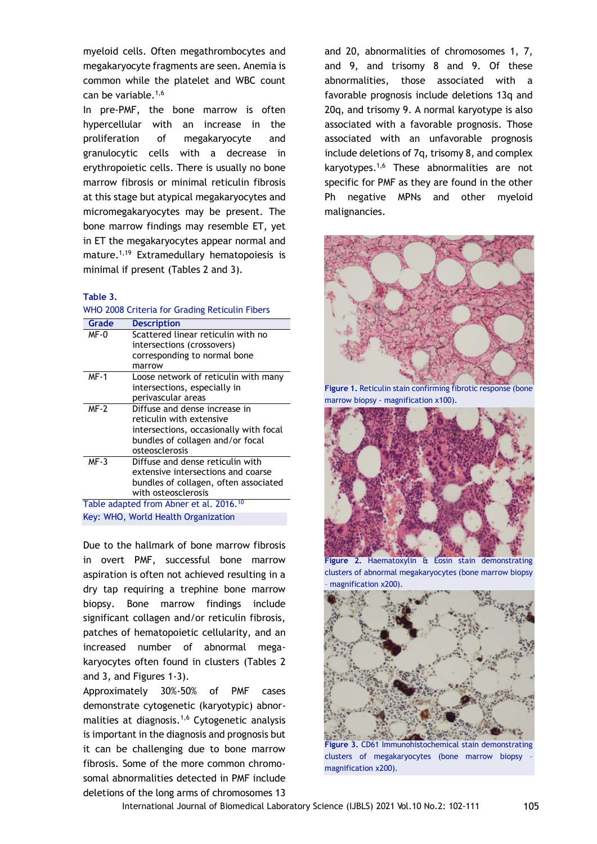myeloid cells. Often megathrombocytes and megakaryocyte fragments are seen. Anemia is common while the platelet and WBC count can be variable.<sup>1,6</sup>

In pre-PMF, the bone marrow is often hypercellular with an increase in the proliferation of megakaryocyte and granulocytic cells with a decrease in erythropoietic cells. There is usually no bone marrow fibrosis or minimal reticulin fibrosis at this stage but atypical megakaryocytes and micromegakaryocytes may be present. The bone marrow findings may resemble ET, yet in ET the megakaryocytes appear normal and mature.<sup>1,19</sup> Extramedullary hematopoiesis is minimal if present (Tables 2 and 3).

#### **Table 3.**

|             | WITO 2006 CITED 18 TOP GROBING NECICULITY IDEI'S    |  |  |
|-------------|-----------------------------------------------------|--|--|
| Grade       | <b>Description</b>                                  |  |  |
| MF-0        | Scattered linear reticulin with no                  |  |  |
|             | intersections (crossovers)                          |  |  |
|             | corresponding to normal bone                        |  |  |
|             | marrow                                              |  |  |
| <b>MF-1</b> | Loose network of reticulin with many                |  |  |
|             | intersections, especially in                        |  |  |
|             | perivascular areas                                  |  |  |
| $MF-2$      | Diffuse and dense increase in                       |  |  |
|             | reticulin with extensive                            |  |  |
|             | intersections, occasionally with focal              |  |  |
|             | bundles of collagen and/or focal                    |  |  |
|             | osteosclerosis                                      |  |  |
| $MF-3$      | Diffuse and dense reticulin with                    |  |  |
|             | extensive intersections and coarse                  |  |  |
|             | bundles of collagen, often associated               |  |  |
|             | with osteosclerosis                                 |  |  |
|             | Table adapted from Abner et al. 2016. <sup>10</sup> |  |  |
|             | Key: WHO, World Health Organization                 |  |  |

WHO 2008 Criteria for Crading Reticulin Fibers

Due to the hallmark of bone marrow fibrosis in overt PMF, successful bone marrow aspiration is often not achieved resulting in a dry tap requiring a trephine bone marrow biopsy. Bone marrow findings include significant collagen and/or reticulin fibrosis, patches of hematopoietic cellularity, and an increased number of abnormal megakaryocytes often found in clusters (Tables 2 and 3, and Figures 1-3).

Approximately 30%-50% of PMF cases demonstrate cytogenetic (karyotypic) abnormalities at diagnosis.<sup>1,6</sup> Cytogenetic analysis is important in the diagnosis and prognosis but it can be challenging due to bone marrow fibrosis. Some of the more common chromosomal abnormalities detected in PMF include deletions of the long arms of chromosomes 13 and 20, abnormalities of chromosomes 1, 7, and 9, and trisomy 8 and 9. Of these abnormalities, those associated with a favorable prognosis include deletions 13q and 20q, and trisomy 9. A normal karyotype is also associated with a favorable prognosis. Those associated with an unfavorable prognosis include deletions of 7q, trisomy 8, and complex karyotypes.1,6 These abnormalities are not specific for PMF as they are found in the other Ph negative MPNs and other myeloid malignancies.



**Figure 1.** Reticulin stain confirming fibrotic response (bone marrow biopsy - magnification x100).



**Figure 2.** Haematoxylin & Eosin stain demonstrating clusters of abnormal megakaryocytes (bone marrow biopsy magnification x200).



**Figure 3.** CD61 Immunohistochemical stain demonstrating clusters of megakaryocytes (bone marrow biopsy – magnification x200).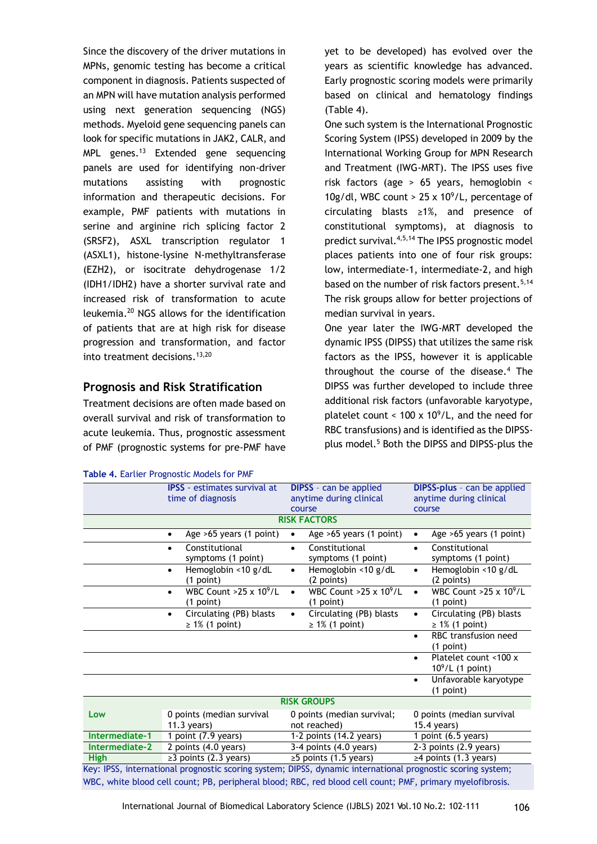Since the discovery of the driver mutations in MPNs, genomic testing has become a critical component in diagnosis. Patients suspected of an MPN will have mutation analysis performed using next generation sequencing (NGS) methods. Myeloid gene sequencing panels can look for specific mutations in JAK2, CALR, and  $MPL$  genes.<sup>13</sup> Extended gene sequencing panels are used for identifying non-driver mutations assisting with prognostic information and therapeutic decisions. For example, PMF patients with mutations in serine and arginine rich splicing factor 2 (SRSF2), ASXL transcription regulator 1 (ASXL1), histone-lysine N-methyltransferase (EZH2), or isocitrate dehydrogenase 1/2 (IDH1/IDH2) have a shorter survival rate and increased risk of transformation to acute leukemia.<sup>20</sup> NGS allows for the identification of patients that are at high risk for disease progression and transformation, and factor into treatment decisions.<sup>13,20</sup>

### **Prognosis and Risk Stratification**

Treatment decisions are often made based on overall survival and risk of transformation to acute leukemia. Thus, prognostic assessment of PMF (prognostic systems for pre-PMF have

|  | Table 4. Earlier Prognostic Models for PMF |  |
|--|--------------------------------------------|--|
|  |                                            |  |

yet to be developed) has evolved over the years as scientific knowledge has advanced. Early prognostic scoring models were primarily based on clinical and hematology findings (Table 4).

One such system is the International Prognostic Scoring System (IPSS) developed in 2009 by the International Working Group for MPN Research and Treatment (IWG-MRT). The IPSS uses five risk factors (age > 65 years, hemoglobin < 10g/dl, WBC count > 25 x  $10^9$ /L, percentage of circulating blasts ≥1%, and presence of constitutional symptoms), at diagnosis to predict survival.4,5,14 The IPSS prognostic model places patients into one of four risk groups: low, intermediate-1, intermediate-2, and high based on the number of risk factors present.<sup>5,14</sup> The risk groups allow for better projections of median survival in years.

One year later the IWG-MRT developed the dynamic IPSS (DIPSS) that utilizes the same risk factors as the IPSS, however it is applicable throughout the course of the disease.<sup>4</sup> The DIPSS was further developed to include three additional risk factors (unfavorable karyotype, platelet count  $<$  100 x 10<sup>9</sup>/L, and the need for RBC transfusions) and is identified as the DIPSSplus model.<sup>5</sup> Both the DIPSS and DIPSS-plus the

|                                                                                                             | <b>IPSS</b> - estimates survival at<br>time of diagnosis     | <b>DIPSS</b> - can be applied<br>anytime during clinical<br>course | <b>DIPSS-plus</b> - can be applied<br>anytime during clinical<br>course |  |
|-------------------------------------------------------------------------------------------------------------|--------------------------------------------------------------|--------------------------------------------------------------------|-------------------------------------------------------------------------|--|
|                                                                                                             |                                                              | <b>RISK FACTORS</b>                                                |                                                                         |  |
|                                                                                                             | Age >65 years (1 point)<br>$\bullet$                         | Age >65 years (1 point)<br>$\bullet$                               | Age >65 years (1 point)<br>$\bullet$                                    |  |
|                                                                                                             | Constitutional<br>$\bullet$<br>symptoms (1 point)            | Constitutional<br>$\bullet$<br>symptoms (1 point)                  | Constitutional<br>$\bullet$<br>symptoms (1 point)                       |  |
|                                                                                                             | Hemoglobin <10 g/dL<br>$\bullet$<br>(1 point)                | Hemoglobin <10 g/dL<br>$\bullet$<br>(2 points)                     | Hemoglobin <10 g/dL<br>$\bullet$<br>(2 points)                          |  |
|                                                                                                             | WBC Count > 25 x 10 <sup>9</sup> /L<br>(1 point)             | WBC Count >25 x $10^9$ /L<br>(1 point)                             | WBC Count $>25 \times 10^9$ /L<br>$\bullet$<br>(1 point)                |  |
|                                                                                                             | Circulating (PB) blasts<br>$\bullet$<br>$\geq 1\%$ (1 point) | Circulating (PB) blasts<br>$\bullet$<br>$\geq 1\%$ (1 point)       | Circulating (PB) blasts<br>$\bullet$<br>$\geq$ 1% (1 point)             |  |
|                                                                                                             |                                                              |                                                                    | RBC transfusion need<br>$\bullet$<br>(1 point)                          |  |
|                                                                                                             |                                                              |                                                                    | Platelet count <100 x<br>$\bullet$<br>$10^9$ /L (1 point)               |  |
|                                                                                                             |                                                              |                                                                    | Unfavorable karyotype<br>$\bullet$<br>$(1$ point)                       |  |
| <b>RISK GROUPS</b>                                                                                          |                                                              |                                                                    |                                                                         |  |
| Low                                                                                                         | 0 points (median survival<br>$11.3$ years)                   | 0 points (median survival;<br>not reached)                         | 0 points (median survival<br>15.4 years)                                |  |
| Intermediate-1                                                                                              | 1 point (7.9 years)                                          | 1-2 points (14.2 years)                                            | 1 point (6.5 years)                                                     |  |
| Intermediate-2                                                                                              | 2 points (4.0 years)                                         | 3-4 points (4.0 years)                                             | 2-3 points (2.9 years)                                                  |  |
| <b>High</b>                                                                                                 | $\geq$ 3 points (2.3 years)                                  | $\geq$ 5 points (1.5 years)                                        | $\geq$ 4 points (1.3 years)                                             |  |
| Key: IPSS, international prognostic scoring system; DIPSS, dynamic international prognostic scoring system; |                                                              |                                                                    |                                                                         |  |
| WBC, white blood cell count; PB, peripheral blood; RBC, red blood cell count; PMF, primary myelofibrosis.   |                                                              |                                                                    |                                                                         |  |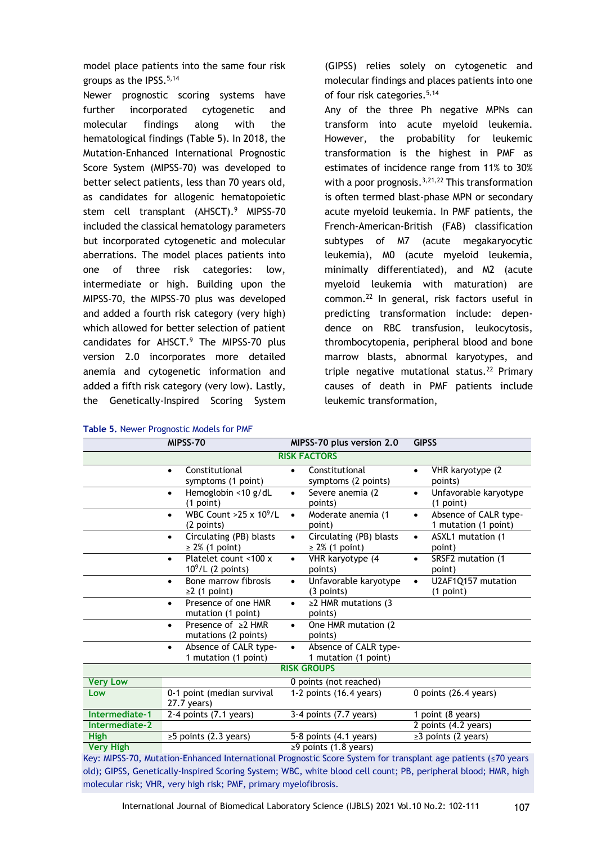model place patients into the same four risk groups as the IPSS.<sup>5,14</sup>

Newer prognostic scoring systems have further incorporated cytogenetic and molecular findings along with the hematological findings (Table 5). In 2018, the Mutation-Enhanced International Prognostic Score System (MIPSS-70) was developed to better select patients, less than 70 years old, as candidates for allogenic hematopoietic stem cell transplant (AHSCT).<sup>9</sup> MIPSS-70 included the classical hematology parameters but incorporated cytogenetic and molecular aberrations. The model places patients into one of three risk categories: low, intermediate or high. Building upon the MIPSS-70, the MIPSS-70 plus was developed and added a fourth risk category (very high) which allowed for better selection of patient candidates for AHSCT.<sup>9</sup> The MIPSS-70 plus version 2.0 incorporates more detailed anemia and cytogenetic information and added a fifth risk category (very low). Lastly, the Genetically-Inspired Scoring System

|  |  |  | Table 5. Newer Prognostic Models for PMF |  |  |
|--|--|--|------------------------------------------|--|--|
|--|--|--|------------------------------------------|--|--|

(GIPSS) relies solely on cytogenetic and molecular findings and places patients into one of four risk categories.<sup>5,14</sup>

Any of the three Ph negative MPNs can transform into acute myeloid leukemia. However, the probability for leukemic transformation is the highest in PMF as estimates of incidence range from 11% to 30% with a poor prognosis.<sup>3,21,22</sup> This transformation is often termed blast-phase MPN or secondary acute myeloid leukemia. In PMF patients, the French-American-British (FAB) classification subtypes of M7 (acute megakaryocytic leukemia), M0 (acute myeloid leukemia, minimally differentiated), and M2 (acute myeloid leukemia with maturation) are common.<sup>22</sup> In general, risk factors useful in predicting transformation include: dependence on RBC transfusion, leukocytosis, thrombocytopenia, peripheral blood and bone marrow blasts, abnormal karyotypes, and triple negative mutational status.<sup>22</sup> Primary causes of death in PMF patients include leukemic transformation,

| MIPSS-70         |                                                                                                              | MIPSS-70 plus version 2.0                                   | <b>GIPSS</b>                                               |  |
|------------------|--------------------------------------------------------------------------------------------------------------|-------------------------------------------------------------|------------------------------------------------------------|--|
|                  |                                                                                                              | <b>RISK FACTORS</b>                                         |                                                            |  |
|                  | Constitutional<br>$\bullet$<br>symptoms (1 point)                                                            | Constitutional<br>$\bullet$<br>symptoms (2 points)          | VHR karyotype (2<br>$\bullet$<br>points)                   |  |
|                  | Hemoglobin <10 g/dL<br>$\bullet$<br>(1 point)                                                                | Severe anemia (2<br>$\bullet$<br>points)                    | Unfavorable karyotype<br>$\bullet$<br>(1 point)            |  |
|                  | WBC Count $>25 \times 10^9$ /L<br>$\bullet$<br>(2 points)                                                    | Moderate anemia (1<br>$\bullet$<br>point)                   | Absence of CALR type-<br>$\bullet$<br>1 mutation (1 point) |  |
|                  | Circulating (PB) blasts<br>$\bullet$<br>$\geq$ 2% (1 point)                                                  | Circulating (PB) blasts<br>$\bullet$<br>$\geq$ 2% (1 point) | ASXL1 mutation (1<br>$\bullet$<br>point)                   |  |
|                  | Platelet count <100 x<br>$\bullet$<br>$10^9$ /L (2 points)                                                   | VHR karyotype (4<br>$\bullet$<br>points)                    | SRSF2 mutation (1<br>$\bullet$<br>point)                   |  |
|                  | Bone marrow fibrosis<br>$\bullet$<br>$\geq$ (1 point)                                                        | Unfavorable karyotype<br>$\bullet$<br>$(3$ points)          | U2AF1Q157 mutation<br>$\bullet$<br>(1 point)               |  |
|                  | Presence of one HMR<br>$\bullet$<br>mutation (1 point)                                                       | $\geq$ 2 HMR mutations (3<br>$\bullet$<br>points)           |                                                            |  |
|                  | Presence of $\geq 2$ HMR<br>$\bullet$<br>mutations (2 points)                                                | One HMR mutation (2)<br>$\bullet$<br>points)                |                                                            |  |
|                  | Absence of CALR type-<br>$\bullet$<br>1 mutation (1 point)                                                   | Absence of CALR type-<br>$\bullet$<br>1 mutation (1 point)  |                                                            |  |
|                  |                                                                                                              | <b>RISK GROUPS</b>                                          |                                                            |  |
| <b>Very Low</b>  |                                                                                                              | 0 points (not reached)                                      |                                                            |  |
| Low              | 0-1 point (median survival<br>$27.7$ years)                                                                  | 1-2 points (16.4 years)                                     | 0 points (26.4 years)                                      |  |
| Intermediate-1   | $2-4$ points $(7.1$ years)                                                                                   | 3-4 points (7.7 years)                                      | $\overline{1}$ point (8 years)                             |  |
| Intermediate-2   |                                                                                                              |                                                             | 2 points (4.2 years)                                       |  |
| <b>High</b>      | $\geq$ 5 points (2.3 years)                                                                                  | 5-8 points (4.1 years)                                      | $\geq$ 3 points (2 years)                                  |  |
|                  |                                                                                                              |                                                             |                                                            |  |
| <b>Very High</b> | Key: MIPSS-70 Mutation-Enhanced International Prognostic Score System for transplant age patients (<70 years | $\geq$ 9 points (1.8 years)                                 |                                                            |  |

Key: MIPSS-70, Mutation-Enhanced International Prognostic Score System for transplant age patients (≤70 years old); GIPSS, Genetically-Inspired Scoring System; WBC, white blood cell count; PB, peripheral blood; HMR, high molecular risk; VHR, very high risk; PMF, primary myelofibrosis.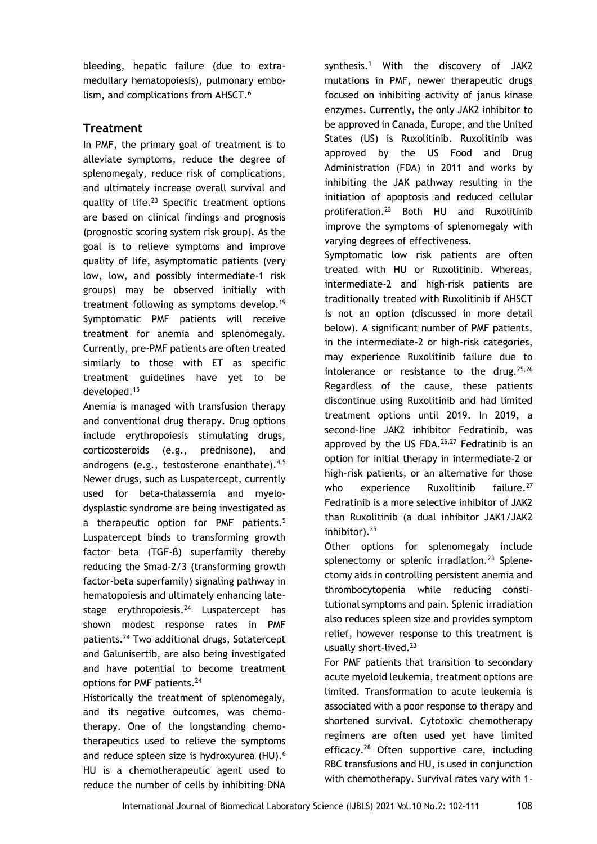bleeding, hepatic failure (due to extramedullary hematopoiesis), pulmonary embolism, and complications from AHSCT.<sup>6</sup>

## **Treatment**

In PMF, the primary goal of treatment is to alleviate symptoms, reduce the degree of splenomegaly, reduce risk of complications, and ultimately increase overall survival and quality of life.<sup>23</sup> Specific treatment options are based on clinical findings and prognosis (prognostic scoring system risk group). As the goal is to relieve symptoms and improve quality of life, asymptomatic patients (very low, low, and possibly intermediate-1 risk groups) may be observed initially with treatment following as symptoms develop.<sup>19</sup> Symptomatic PMF patients will receive treatment for anemia and splenomegaly. Currently, pre-PMF patients are often treated similarly to those with ET as specific treatment guidelines have yet to be developed.<sup>15</sup>

Anemia is managed with transfusion therapy and conventional drug therapy. Drug options include erythropoiesis stimulating drugs, corticosteroids (e.g., prednisone), and androgens (e.g., testosterone enanthate).<sup>4,5</sup> Newer drugs, such as Luspatercept, currently used for beta-thalassemia and myelodysplastic syndrome are being investigated as a therapeutic option for PMF patients.<sup>5</sup> Luspatercept binds to transforming growth factor beta (TGF-β) superfamily thereby reducing the Smad-2/3 (transforming growth factor-beta superfamily) signaling pathway in hematopoiesis and ultimately enhancing latestage erythropoiesis. $24$  Luspatercept has shown modest response rates in PMF patients.<sup>24</sup> Two additional drugs, Sotatercept and Galunisertib, are also being investigated and have potential to become treatment options for PMF patients.<sup>24</sup>

Historically the treatment of splenomegaly, and its negative outcomes, was chemotherapy. One of the longstanding chemotherapeutics used to relieve the symptoms and reduce spleen size is hydroxyurea (HU).<sup>6</sup> HU is a chemotherapeutic agent used to reduce the number of cells by inhibiting DNA synthesis.<sup>1</sup> With the discovery of JAK2 mutations in PMF, newer therapeutic drugs focused on inhibiting activity of janus kinase enzymes. Currently, the only JAK2 inhibitor to be approved in Canada, Europe, and the United States (US) is Ruxolitinib. Ruxolitinib was approved by the US Food and Drug Administration (FDA) in 2011 and works by inhibiting the JAK pathway resulting in the initiation of apoptosis and reduced cellular proliferation.<sup>23</sup> Both HU and Ruxolitinib improve the symptoms of splenomegaly with varying degrees of effectiveness.

Symptomatic low risk patients are often treated with HU or Ruxolitinib. Whereas, intermediate-2 and high-risk patients are traditionally treated with Ruxolitinib if AHSCT is not an option (discussed in more detail below). A significant number of PMF patients, in the intermediate-2 or high-risk categories, may experience Ruxolitinib failure due to intolerance or resistance to the drug.  $25,26$ Regardless of the cause, these patients discontinue using Ruxolitinib and had limited treatment options until 2019. In 2019, a second-line JAK2 inhibitor Fedratinib, was approved by the US FDA.<sup>25,27</sup> Fedratinib is an option for initial therapy in intermediate-2 or high-risk patients, or an alternative for those who experience Ruxolitinib failure.<sup>27</sup> Fedratinib is a more selective inhibitor of JAK2 than Ruxolitinib (a dual inhibitor JAK1/JAK2 inhibitor).<sup>25</sup>

Other options for splenomegaly include splenectomy or splenic irradiation.<sup>23</sup> Splenectomy aids in controlling persistent anemia and thrombocytopenia while reducing constitutional symptoms and pain. Splenic irradiation also reduces spleen size and provides symptom relief, however response to this treatment is usually short-lived.<sup>23</sup>

For PMF patients that transition to secondary acute myeloid leukemia, treatment options are limited. Transformation to acute leukemia is associated with a poor response to therapy and shortened survival. Cytotoxic chemotherapy regimens are often used yet have limited efficacy.<sup>28</sup> Often supportive care, including RBC transfusions and HU, is used in conjunction with chemotherapy. Survival rates vary with 1-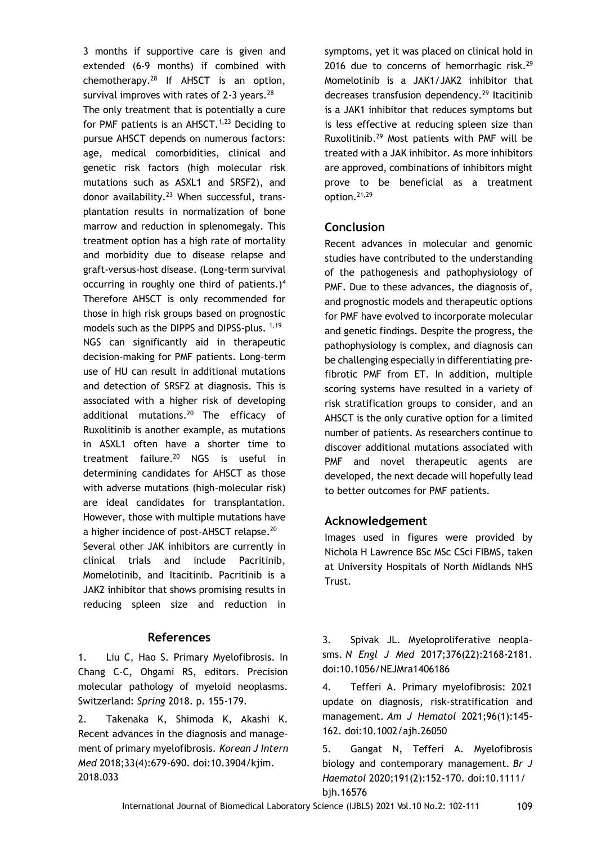3 months if supportive care is given and extended (6-9 months) if combined with chemotherapy.<sup>28</sup> If AHSCT is an option, survival improves with rates of  $2-3$  years.<sup>28</sup> The only treatment that is potentially a cure for PMF patients is an AHSCT. $1,23$  Deciding to pursue AHSCT depends on numerous factors: age, medical comorbidities, clinical and genetic risk factors (high molecular risk mutations such as ASXL1 and SRSF2), and donor availability.<sup>23</sup> When successful, transplantation results in normalization of bone marrow and reduction in splenomegaly. This treatment option has a high rate of mortality and morbidity due to disease relapse and graft-versus-host disease. (Long-term survival occurring in roughly one third of patients.)<sup>4</sup> Therefore AHSCT is only recommended for those in high risk groups based on prognostic models such as the DIPPS and DIPSS-plus. 1,19 NGS can significantly aid in therapeutic decision-making for PMF patients. Long-term use of HU can result in additional mutations and detection of SRSF2 at diagnosis. This is associated with a higher risk of developing additional mutations.<sup>20</sup> The efficacy of Ruxolitinib is another example, as mutations in ASXL1 often have a shorter time to treatment failure. $20$  NGS is useful in determining candidates for AHSCT as those with adverse mutations (high-molecular risk) are ideal candidates for transplantation. However, those with multiple mutations have a higher incidence of post-AHSCT relapse.<sup>20</sup> Several other JAK inhibitors are currently in clinical trials and include Pacritinib, Momelotinib, and Itacitinib. Pacritinib is a JAK2 inhibitor that shows promising results in reducing spleen size and reduction in

### **References**

1. Liu C, Hao S. Primary Myelofibrosis. In Chang C-C, Ohgami RS, editors. Precision molecular pathology of myeloid neoplasms. Switzerland: *Spring* 2018. p. 155-179.

2. Takenaka K, Shimoda K, Akashi K. Recent advances in the diagnosis and management of primary myelofibrosis. *Korean J Intern Med* 2018;33(4):679-690. doi:10.3904/kjim. 2018.033

symptoms, yet it was placed on clinical hold in 2016 due to concerns of hemorrhagic risk. $29$ Momelotinib is a JAK1/JAK2 inhibitor that decreases transfusion dependency.<sup>29</sup> Itacitinib is a JAK1 inhibitor that reduces symptoms but is less effective at reducing spleen size than Ruxolitinib.<sup>29</sup> Most patients with PMF will be treated with a JAK inhibitor. As more inhibitors are approved, combinations of inhibitors might prove to be beneficial as a treatment option.21,29

# **Conclusion**

Recent advances in molecular and genomic studies have contributed to the understanding of the pathogenesis and pathophysiology of PMF. Due to these advances, the diagnosis of, and prognostic models and therapeutic options for PMF have evolved to incorporate molecular and genetic findings. Despite the progress, the pathophysiology is complex, and diagnosis can be challenging especially in differentiating prefibrotic PMF from ET. In addition, multiple scoring systems have resulted in a variety of risk stratification groups to consider, and an AHSCT is the only curative option for a limited number of patients. As researchers continue to discover additional mutations associated with PMF and novel therapeutic agents are developed, the next decade will hopefully lead to better outcomes for PMF patients.

## **Acknowledgement**

Images used in figures were provided by Nichola H Lawrence BSc MSc CSci FIBMS, taken at University Hospitals of North Midlands NHS Trust.

3. Spivak JL. Myeloproliferative neoplasms. *N Engl J Med* 2017;376(22):2168-2181. doi:10.1056/NEJMra1406186

4. Tefferi A. Primary myelofibrosis: 2021 update on diagnosis, risk-stratification and management. *Am J Hematol* 2021;96(1):145- 162. doi:10.1002/ajh.26050

5. Gangat N, Tefferi A. Myelofibrosis biology and contemporary management. *Br J Haematol* 2020;191(2):152-170. doi:10.1111/ bjh.16576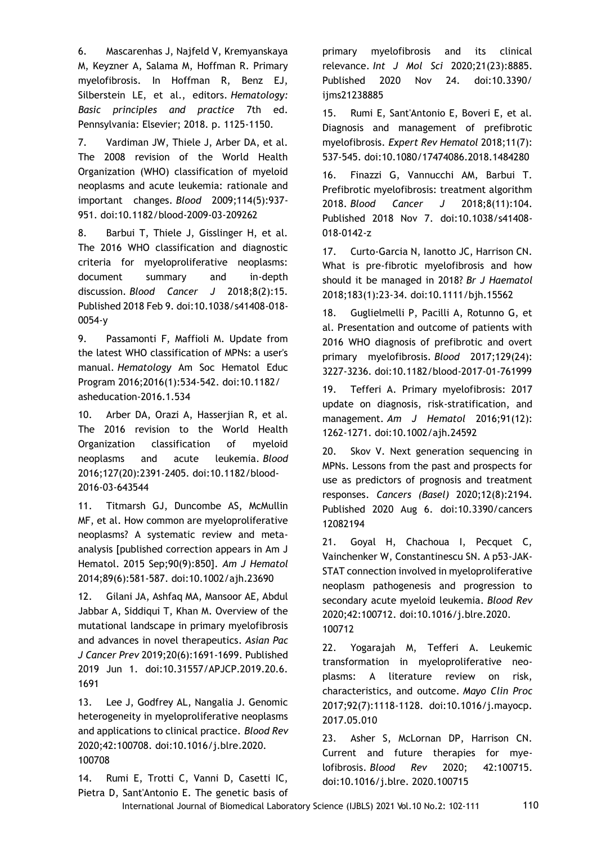6. Mascarenhas J, Najfeld V, Kremyanskaya M, Keyzner A, Salama M, Hoffman R. Primary myelofibrosis. In Hoffman R, Benz EJ, Silberstein LE, et al., editors. *Hematology: Basic principles and practice* 7th ed. Pennsylvania: Elsevier; 2018. p. 1125-1150.

7. Vardiman JW, Thiele J, Arber DA, et al. The 2008 revision of the World Health Organization (WHO) classification of myeloid neoplasms and acute leukemia: rationale and important changes. *Blood* 2009;114(5):937- 951. doi:10.1182/blood-2009-03-209262

8. Barbui T, Thiele J, Gisslinger H, et al. The 2016 WHO classification and diagnostic criteria for myeloproliferative neoplasms: document summary and in-depth discussion. *Blood Cancer J* 2018;8(2):15. Published 2018 Feb 9. doi:10.1038/s41408-018- 0054-y

9. Passamonti F, Maffioli M. Update from the latest WHO classification of MPNs: a user's manual. *Hematology* Am Soc Hematol Educ Program 2016;2016(1):534-542. doi:10.1182/ asheducation-2016.1.534

10. Arber DA, Orazi A, Hasserjian R, et al. The 2016 revision to the World Health Organization classification of myeloid neoplasms and acute leukemia. *Blood* 2016;127(20):2391-2405. doi:10.1182/blood-2016-03-643544

11. Titmarsh GJ, Duncombe AS, McMullin MF, et al. How common are myeloproliferative neoplasms? A systematic review and metaanalysis [published correction appears in Am J Hematol. 2015 Sep;90(9):850]. *Am J Hematol* 2014;89(6):581-587. doi:10.1002/ajh.23690

12. Gilani JA, Ashfaq MA, Mansoor AE, Abdul Jabbar A, Siddiqui T, Khan M. Overview of the mutational landscape in primary myelofibrosis and advances in novel therapeutics. *Asian Pac J Cancer Prev* 2019;20(6):1691-1699. Published 2019 Jun 1. doi:10.31557/APJCP.2019.20.6. 1691

13. Lee J, Godfrey AL, Nangalia J. Genomic heterogeneity in myeloproliferative neoplasms and applications to clinical practice. *Blood Rev* 2020;42:100708. doi:10.1016/j.blre.2020. 100708

14. Rumi E, Trotti C, Vanni D, Casetti IC, Pietra D, Sant'Antonio E. The genetic basis of primary myelofibrosis and its clinical relevance. *Int J Mol Sci* 2020;21(23):8885. Published 2020 Nov 24. doi:10.3390/ ijms21238885

15. Rumi E, Sant'Antonio E, Boveri E, et al. Diagnosis and management of prefibrotic myelofibrosis. *Expert Rev Hematol* 2018;11(7): 537-545. doi:10.1080/17474086.2018.1484280

16. Finazzi G, Vannucchi AM, Barbui T. Prefibrotic myelofibrosis: treatment algorithm 2018. *Blood Cancer J* 2018;8(11):104. Published 2018 Nov 7. doi:10.1038/s41408- 018-0142-z

17. Curto-Garcia N, Ianotto JC, Harrison CN. What is pre-fibrotic myelofibrosis and how should it be managed in 2018? *Br J Haematol* 2018;183(1):23-34. doi:10.1111/bjh.15562

18. Guglielmelli P, Pacilli A, Rotunno G, et al. Presentation and outcome of patients with 2016 WHO diagnosis of prefibrotic and overt primary myelofibrosis. *Blood* 2017;129(24): 3227-3236. doi:10.1182/blood-2017-01-761999

19. Tefferi A. Primary myelofibrosis: 2017 update on diagnosis, risk-stratification, and management. *Am J Hematol* 2016;91(12): 1262-1271. doi:10.1002/ajh.24592

20. Skov V. Next generation sequencing in MPNs. Lessons from the past and prospects for use as predictors of prognosis and treatment responses. *Cancers (Basel)* 2020;12(8):2194. Published 2020 Aug 6. doi:10.3390/cancers 12082194

21. Goyal H, Chachoua I, Pecquet C, Vainchenker W, Constantinescu SN. A p53-JAK-STAT connection involved in myeloproliferative neoplasm pathogenesis and progression to secondary acute myeloid leukemia. *Blood Rev* 2020;42:100712. doi:10.1016/j.blre.2020. 100712

22. Yogarajah M, Tefferi A. Leukemic transformation in myeloproliferative neoplasms: A literature review on risk, characteristics, and outcome. *Mayo Clin Proc* 2017;92(7):1118-1128. doi:10.1016/j.mayocp. 2017.05.010

23. Asher S, McLornan DP, Harrison CN. Current and future therapies for myelofibrosis. *Blood Rev* 2020; 42:100715. doi:10.1016/j.blre. 2020.100715

International Journal of Biomedical Laboratory Science (IJBLS) 2021 Vol.10 No.2: 102-111